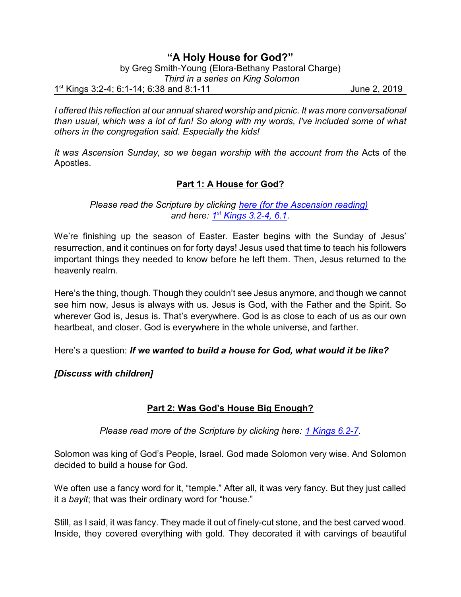# **"A Holy House for God?"**

by Greg Smith-Young (Elora-Bethany Pastoral Charge)

 *Third in a series on King Solomon*

1<sup>st</sup> Kings 3:2-4; 6:1-14; 6:38 and 8:1-11 June 2, 2019

*I offered this reflection at our annual shared worship and picnic. It was more conversational than usual, which was a lot of fun! So along with my words, I've included some of what others in the congregation said. Especially the kids!*

*It was Ascension Sunday, so we began worship with the account from the* Acts of the Apostles*.*

## **Part 1: A House for God?**

*Please read the Scripture by clicking [here \(for the Ascension reading\)](https://www.biblegateway.com/passage/?search=Acts+1%3A3-11&version=CEB) and here: 1 st  [Kings 3.2-4, 6.1](https://www.biblegateway.com/passage/?search=1+Kings+3.2-4%2C+6.1&version=CEB).*

We're finishing up the season of Easter. Easter begins with the Sunday of Jesus' resurrection, and it continues on for forty days! Jesus used that time to teach his followers important things they needed to know before he left them. Then, Jesus returned to the heavenly realm.

Here's the thing, though. Though they couldn't see Jesus anymore, and though we cannot see him now, Jesus is always with us. Jesus is God, with the Father and the Spirit. So wherever God is, Jesus is. That's everywhere. God is as close to each of us as our own heartbeat, and closer. God is everywhere in the whole universe, and farther.

Here's a question: *If we wanted to build a house for God, what would it be like?*

*[Discuss with children]*

## **Part 2: Was God's House Big Enough?**

*Please read more of the Scripture by clicking here: [1 Kings 6.2-7](https://www.biblegateway.com/passage/?search=1+Kings+6.2-7&version=CEB).*

Solomon was king of God's People, Israel. God made Solomon very wise. And Solomon decided to build a house for God.

We often use a fancy word for it, "temple." After all, it was very fancy. But they just called it a *bayit*; that was their ordinary word for "house."

Still, as I said, it was fancy. They made it out of finely-cut stone, and the best carved wood. Inside, they covered everything with gold. They decorated it with carvings of beautiful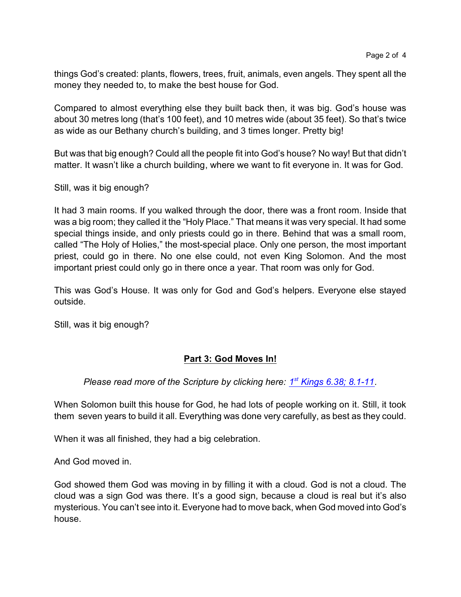things God's created: plants, flowers, trees, fruit, animals, even angels. They spent all the money they needed to, to make the best house for God.

Compared to almost everything else they built back then, it was big. God's house was about 30 metres long (that's 100 feet), and 10 metres wide (about 35 feet). So that's twice as wide as our Bethany church's building, and 3 times longer. Pretty big!

But was that big enough? Could all the people fit into God's house? No way! But that didn't matter. It wasn't like a church building, where we want to fit everyone in. It was for God.

Still, was it big enough?

It had 3 main rooms. If you walked through the door, there was a front room. Inside that was a big room; they called it the "Holy Place." That means it was very special. It had some special things inside, and only priests could go in there. Behind that was a small room, called "The Holy of Holies," the most-special place. Only one person, the most important priest, could go in there. No one else could, not even King Solomon. And the most important priest could only go in there once a year. That room was only for God.

This was God's House. It was only for God and God's helpers. Everyone else stayed outside.

Still, was it big enough?

### **Part 3: God Moves In!**

Please read more of the Scripture by clicking here:  $1<sup>st</sup>$  [Kings 6.38; 8.1-11](https://www.biblegateway.com/passage/?search=1+Kings+6.38%3B+8.1-11&version=CEB).

When Solomon built this house for God, he had lots of people working on it. Still, it took them seven years to build it all. Everything was done very carefully, as best as they could.

When it was all finished, they had a big celebration.

And God moved in.

God showed them God was moving in by filling it with a cloud. God is not a cloud. The cloud was a sign God was there. It's a good sign, because a cloud is real but it's also mysterious. You can't see into it. Everyone had to move back, when God moved into God's house.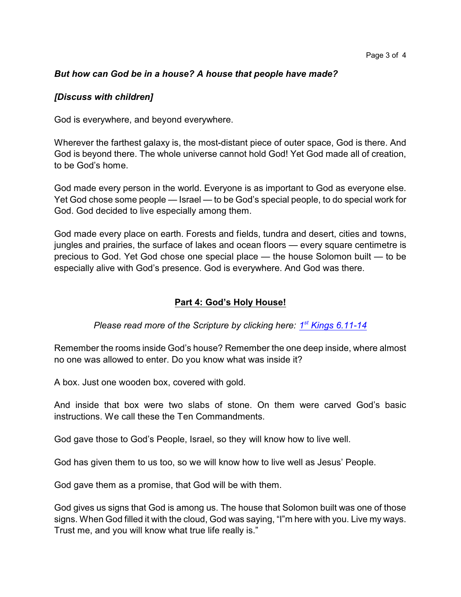### *But how can God be in a house? A house that people have made?*

#### *[Discuss with children]*

God is everywhere, and beyond everywhere.

Wherever the farthest galaxy is, the most-distant piece of outer space, God is there. And God is beyond there. The whole universe cannot hold God! Yet God made all of creation, to be God's home.

God made every person in the world. Everyone is as important to God as everyone else. Yet God chose some people — Israel — to be God's special people, to do special work for God. God decided to live especially among them.

God made every place on earth. Forests and fields, tundra and desert, cities and towns, jungles and prairies, the surface of lakes and ocean floors — every square centimetre is precious to God. Yet God chose one special place — the house Solomon built — to be especially alive with God's presence. God is everywhere. And God was there.

### **Part 4: God's Holy House!**

Please read more of the Scripture by clicking here: **1<sup>st</sup> [Kings 6.11-14](file:///|//Kings%206.11-14)** 

Remember the rooms inside God's house? Remember the one deep inside, where almost no one was allowed to enter. Do you know what was inside it?

A box. Just one wooden box, covered with gold.

And inside that box were two slabs of stone. On them were carved God's basic instructions. We call these the Ten Commandments.

God gave those to God's People, Israel, so they will know how to live well.

God has given them to us too, so we will know how to live well as Jesus' People.

God gave them as a promise, that God will be with them.

God gives us signs that God is among us. The house that Solomon built was one of those signs. When God filled it with the cloud, God was saying, "I"m here with you. Live my ways. Trust me, and you will know what true life really is."